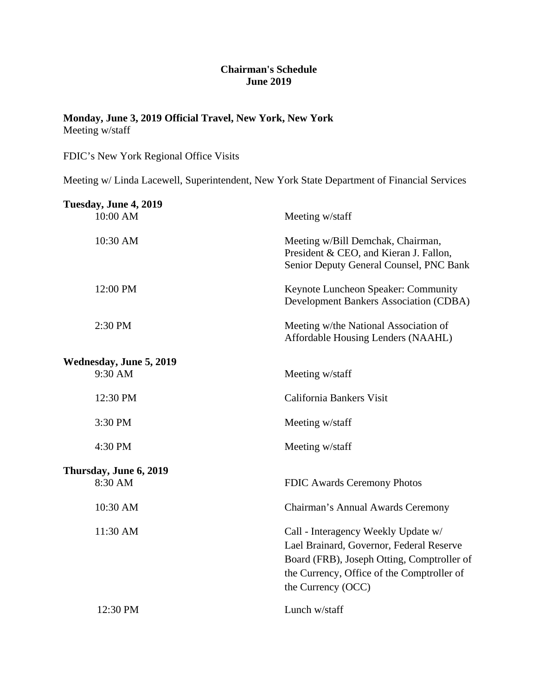## **Chairman's Schedule June 2019**

## **Monday, June 3, 2019 Official Travel, New York, New York** Meeting w/staff

FDIC's New York Regional Office Visits

Meeting w/ Linda Lacewell, Superintendent, New York State Department of Financial Services

| Tuesday, June 4, 2019              |                                                                                                                                                                                                   |
|------------------------------------|---------------------------------------------------------------------------------------------------------------------------------------------------------------------------------------------------|
| 10:00 AM                           | Meeting w/staff                                                                                                                                                                                   |
| 10:30 AM                           | Meeting w/Bill Demchak, Chairman,<br>President & CEO, and Kieran J. Fallon,<br>Senior Deputy General Counsel, PNC Bank                                                                            |
| 12:00 PM                           | Keynote Luncheon Speaker: Community<br><b>Development Bankers Association (CDBA)</b>                                                                                                              |
| 2:30 PM                            | Meeting w/the National Association of<br>Affordable Housing Lenders (NAAHL)                                                                                                                       |
|                                    |                                                                                                                                                                                                   |
| Wednesday, June 5, 2019<br>9:30 AM | Meeting w/staff                                                                                                                                                                                   |
| 12:30 PM                           | California Bankers Visit                                                                                                                                                                          |
| 3:30 PM                            | Meeting w/staff                                                                                                                                                                                   |
| 4:30 PM                            | Meeting w/staff                                                                                                                                                                                   |
|                                    |                                                                                                                                                                                                   |
| Thursday, June 6, 2019<br>8:30 AM  | FDIC Awards Ceremony Photos                                                                                                                                                                       |
| 10:30 AM                           | Chairman's Annual Awards Ceremony                                                                                                                                                                 |
| 11:30 AM                           | Call - Interagency Weekly Update w/<br>Lael Brainard, Governor, Federal Reserve<br>Board (FRB), Joseph Otting, Comptroller of<br>the Currency, Office of the Comptroller of<br>the Currency (OCC) |
| 12:30 PM                           | Lunch w/staff                                                                                                                                                                                     |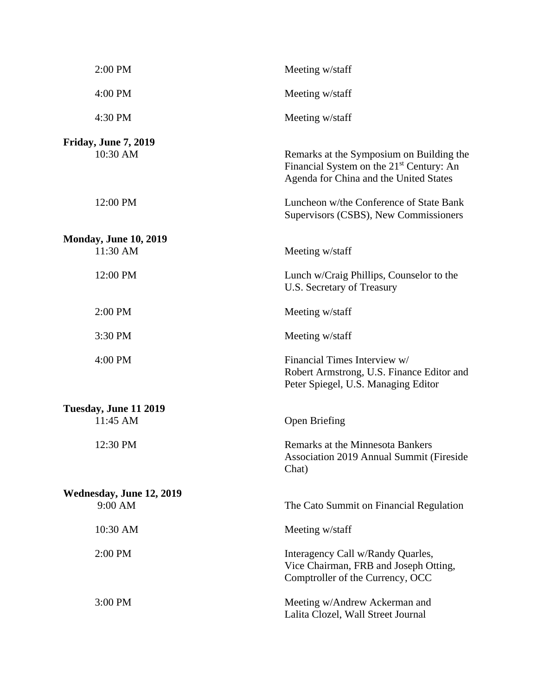| 2:00 PM                             | Meeting w/staff                                                                                                                            |
|-------------------------------------|--------------------------------------------------------------------------------------------------------------------------------------------|
| 4:00 PM                             | Meeting w/staff                                                                                                                            |
| 4:30 PM                             | Meeting w/staff                                                                                                                            |
| Friday, June 7, 2019<br>10:30 AM    | Remarks at the Symposium on Building the<br>Financial System on the 21 <sup>st</sup> Century: An<br>Agenda for China and the United States |
| 12:00 PM                            | Luncheon w/the Conference of State Bank<br>Supervisors (CSBS), New Commissioners                                                           |
| <b>Monday, June 10, 2019</b>        |                                                                                                                                            |
| 11:30 AM                            | Meeting w/staff                                                                                                                            |
| 12:00 PM                            | Lunch w/Craig Phillips, Counselor to the<br>U.S. Secretary of Treasury                                                                     |
| 2:00 PM                             | Meeting w/staff                                                                                                                            |
| 3:30 PM                             | Meeting w/staff                                                                                                                            |
| 4:00 PM                             | Financial Times Interview w/<br>Robert Armstrong, U.S. Finance Editor and<br>Peter Spiegel, U.S. Managing Editor                           |
| Tuesday, June 11 2019               |                                                                                                                                            |
| 11:45 AM                            | Open Briefing                                                                                                                              |
| 12:30 PM                            | <b>Remarks at the Minnesota Bankers</b><br><b>Association 2019 Annual Summit (Fireside</b><br>Chat)                                        |
| Wednesday, June 12, 2019<br>9:00 AM | The Cato Summit on Financial Regulation                                                                                                    |
| 10:30 AM                            | Meeting w/staff                                                                                                                            |
| 2:00 PM                             | Interagency Call w/Randy Quarles,<br>Vice Chairman, FRB and Joseph Otting,<br>Comptroller of the Currency, OCC                             |
| 3:00 PM                             | Meeting w/Andrew Ackerman and<br>Lalita Clozel, Wall Street Journal                                                                        |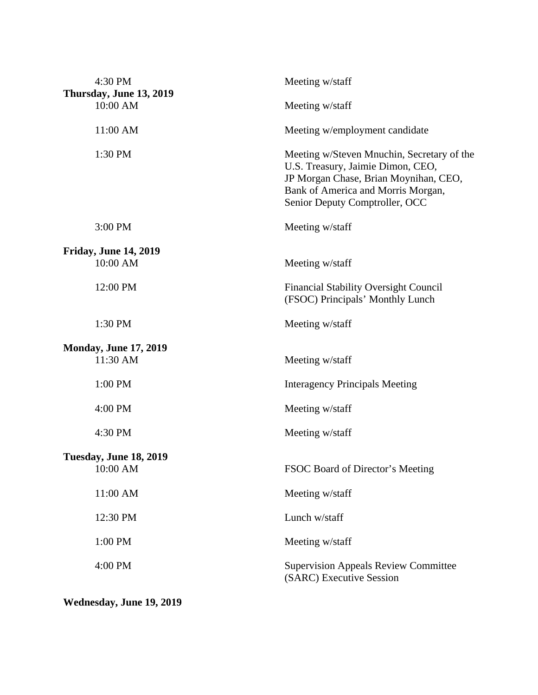| 4:30 PM<br>Thursday, June 13, 2019<br>10:00 AM | Meeting w/staff                                                                                                                                                                                  |
|------------------------------------------------|--------------------------------------------------------------------------------------------------------------------------------------------------------------------------------------------------|
|                                                | Meeting w/staff                                                                                                                                                                                  |
| 11:00 AM                                       | Meeting w/employment candidate                                                                                                                                                                   |
| 1:30 PM                                        | Meeting w/Steven Mnuchin, Secretary of the<br>U.S. Treasury, Jaimie Dimon, CEO,<br>JP Morgan Chase, Brian Moynihan, CEO,<br>Bank of America and Morris Morgan,<br>Senior Deputy Comptroller, OCC |
| 3:00 PM                                        | Meeting w/staff                                                                                                                                                                                  |
| <b>Friday, June 14, 2019</b>                   |                                                                                                                                                                                                  |
| 10:00 AM                                       | Meeting w/staff                                                                                                                                                                                  |
| 12:00 PM                                       | <b>Financial Stability Oversight Council</b><br>(FSOC) Principals' Monthly Lunch                                                                                                                 |
| 1:30 PM                                        | Meeting w/staff                                                                                                                                                                                  |
| <b>Monday, June 17, 2019</b>                   |                                                                                                                                                                                                  |
| 11:30 AM                                       | Meeting w/staff                                                                                                                                                                                  |
| 1:00 PM                                        | <b>Interagency Principals Meeting</b>                                                                                                                                                            |
| 4:00 PM                                        | Meeting w/staff                                                                                                                                                                                  |
| 4:30 PM                                        | Meeting w/staff                                                                                                                                                                                  |
| <b>Tuesday, June 18, 2019</b>                  |                                                                                                                                                                                                  |
| 10:00 AM                                       | FSOC Board of Director's Meeting                                                                                                                                                                 |
| 11:00 AM                                       | Meeting w/staff                                                                                                                                                                                  |
| 12:30 PM                                       | Lunch w/staff                                                                                                                                                                                    |
| 1:00 PM                                        | Meeting w/staff                                                                                                                                                                                  |
| 4:00 PM                                        | <b>Supervision Appeals Review Committee</b><br>(SARC) Executive Session                                                                                                                          |

**Wednesday, June 19, 2019**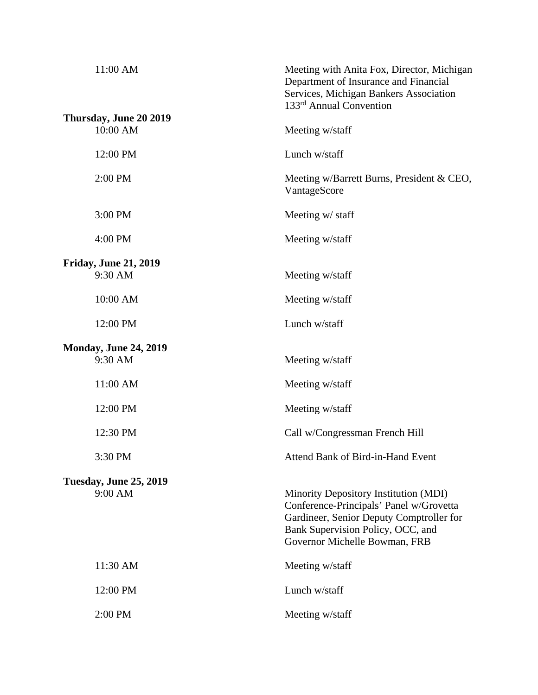| 11:00 AM                                 | Meeting with Anita Fox, Director, Michigan<br>Department of Insurance and Financial<br>Services, Michigan Bankers Association<br>133 <sup>rd</sup> Annual Convention                               |
|------------------------------------------|----------------------------------------------------------------------------------------------------------------------------------------------------------------------------------------------------|
| Thursday, June 20 2019<br>10:00 AM       | Meeting w/staff                                                                                                                                                                                    |
| 12:00 PM                                 | Lunch w/staff                                                                                                                                                                                      |
| 2:00 PM                                  | Meeting w/Barrett Burns, President & CEO,<br>VantageScore                                                                                                                                          |
| 3:00 PM                                  | Meeting w/ staff                                                                                                                                                                                   |
| 4:00 PM                                  | Meeting w/staff                                                                                                                                                                                    |
| <b>Friday, June 21, 2019</b><br>9:30 AM  | Meeting w/staff                                                                                                                                                                                    |
| 10:00 AM                                 | Meeting w/staff                                                                                                                                                                                    |
| 12:00 PM                                 | Lunch w/staff                                                                                                                                                                                      |
| <b>Monday, June 24, 2019</b><br>9:30 AM  | Meeting w/staff                                                                                                                                                                                    |
| 11:00 AM                                 | Meeting w/staff                                                                                                                                                                                    |
| 12:00 PM                                 | Meeting w/staff                                                                                                                                                                                    |
| 12:30 PM                                 | Call w/Congressman French Hill                                                                                                                                                                     |
| 3:30 PM                                  | Attend Bank of Bird-in-Hand Event                                                                                                                                                                  |
| <b>Tuesday, June 25, 2019</b><br>9:00 AM | Minority Depository Institution (MDI)<br>Conference-Principals' Panel w/Grovetta<br>Gardineer, Senior Deputy Comptroller for<br>Bank Supervision Policy, OCC, and<br>Governor Michelle Bowman, FRB |
| 11:30 AM                                 | Meeting w/staff                                                                                                                                                                                    |
| 12:00 PM                                 | Lunch w/staff                                                                                                                                                                                      |
| 2:00 PM                                  | Meeting w/staff                                                                                                                                                                                    |